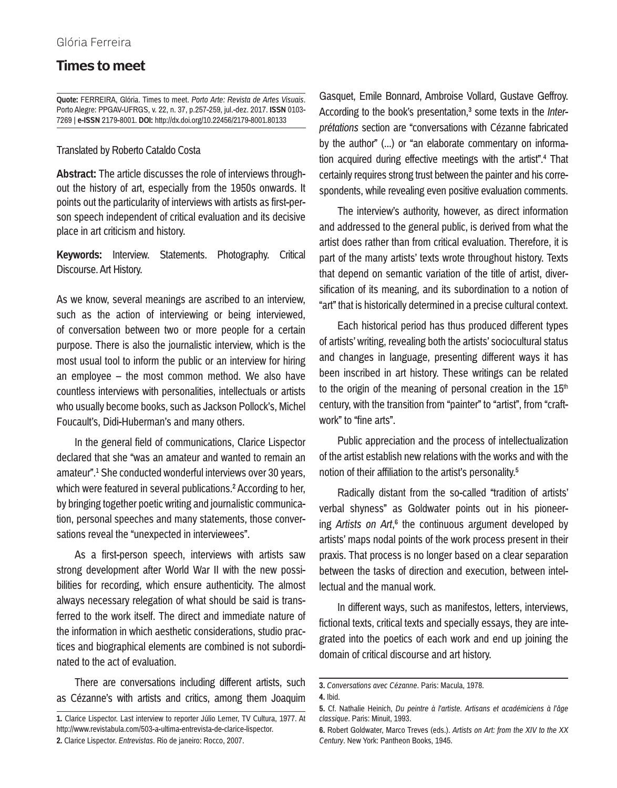## **Times to meet**

**Quote:** FERREIRA, Glória. Times to meet. *Porto Arte: Revista de Artes Visuais*. Porto Alegre: PPGAV-UFRGS, v. 22, n. 37, p.257-259, jul.-dez. 2017. **ISSN** 0103- 7269 | **e-ISSN** 2179-8001. **DOI:** http://dx.doi.org/10.22456/2179-8001.80133

## Translated by Roberto Cataldo Costa

**Abstract:** The article discusses the role of interviews throughout the history of art, especially from the 1950s onwards. It points out the particularity of interviews with artists as first-person speech independent of critical evaluation and its decisive place in art criticism and history.

**Keywords:** Interview. Statements. Photography. Critical Discourse. Art History.

As we know, several meanings are ascribed to an interview, such as the action of interviewing or being interviewed, of conversation between two or more people for a certain purpose. There is also the journalistic interview, which is the most usual tool to inform the public or an interview for hiring an employee – the most common method. We also have countless interviews with personalities, intellectuals or artists who usually become books, such as Jackson Pollock's, Michel Foucault's, Didi-Huberman's and many others.

In the general field of communications, Clarice Lispector declared that she "was an amateur and wanted to remain an amateur".1 She conducted wonderful interviews over 30 years, which were featured in several publications.<sup>2</sup> According to her, by bringing together poetic writing and journalistic communication, personal speeches and many statements, those conversations reveal the "unexpected in interviewees".

As a first-person speech, interviews with artists saw strong development after World War II with the new possibilities for recording, which ensure authenticity. The almost always necessary relegation of what should be said is transferred to the work itself. The direct and immediate nature of the information in which aesthetic considerations, studio practices and biographical elements are combined is not subordinated to the act of evaluation.

There are conversations including different artists, such as Cézanne's with artists and critics, among them Joaquim Gasquet, Emile Bonnard, Ambroise Vollard, Gustave Geffroy. According to the book's presentation,<sup>3</sup> some texts in the *Interprétations* section are "conversations with Cézanne fabricated by the author" (...) or "an elaborate commentary on information acquired during effective meetings with the artist".<sup>4</sup> That certainly requires strong trust between the painter and his correspondents, while revealing even positive evaluation comments.

The interview's authority, however, as direct information and addressed to the general public, is derived from what the artist does rather than from critical evaluation. Therefore, it is part of the many artists' texts wrote throughout history. Texts that depend on semantic variation of the title of artist, diversification of its meaning, and its subordination to a notion of "art" that is historically determined in a precise cultural context.

Each historical period has thus produced different types of artists' writing, revealing both the artists' sociocultural status and changes in language, presenting different ways it has been inscribed in art history. These writings can be related to the origin of the meaning of personal creation in the  $15<sup>th</sup>$ century, with the transition from "painter" to "artist", from "craftwork" to "fine arts"

Public appreciation and the process of intellectualization of the artist establish new relations with the works and with the notion of their affiliation to the artist's personality.5

Radically distant from the so-called "tradition of artists' verbal shyness" as Goldwater points out in his pioneering *Artists on Art*,<sup>6</sup> the continuous argument developed by artists' maps nodal points of the work process present in their praxis. That process is no longer based on a clear separation between the tasks of direction and execution, between intellectual and the manual work.

In different ways, such as manifestos, letters, interviews, fictional texts, critical texts and specially essays, they are integrated into the poetics of each work and end up joining the domain of critical discourse and art history.

**<sup>1.</sup>** Clarice Lispector. Last interview to reporter Júlio Lerner, TV Cultura, 1977. At http://www.revistabula.com/503-a-ultima-entrevista-de-clarice-lispector. **2.** Clarice Lispector. *Entrevistas*. Rio de janeiro: Rocco, 2007.

**<sup>3.</sup>** *Conversations avec Cézanne*. Paris: Macula, 1978.

**<sup>4.</sup>** Ibid.

**<sup>5.</sup>** Cf. Nathalie Heinich, *Du peintre à l'artiste. Artisans et académiciens à l'âge classique*. Paris: Minuit, 1993.

**<sup>6.</sup>** Robert Goldwater, Marco Treves (eds.). *Artists on Art: from the XIV to the XX Century*. New York: Pantheon Books, 1945.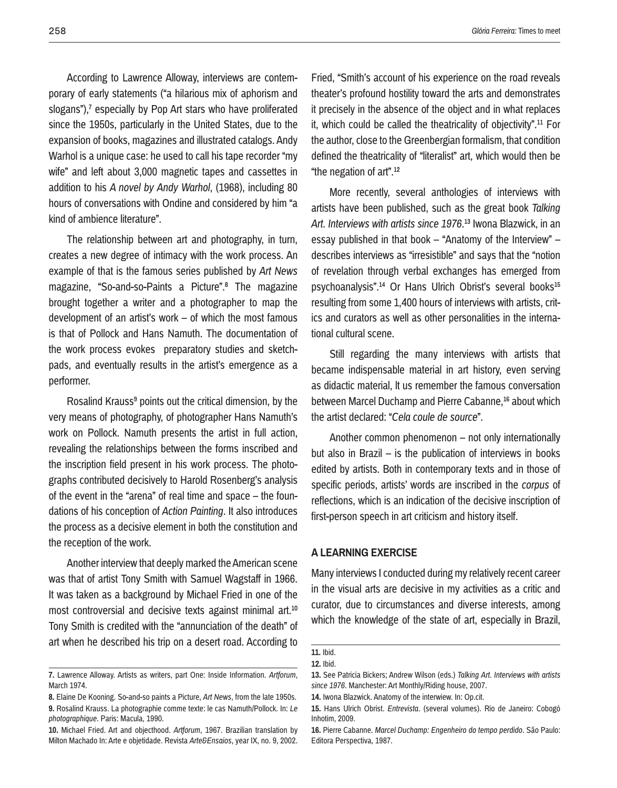According to Lawrence Alloway, interviews are contemporary of early statements ("a hilarious mix of aphorism and slogans"), $<sup>7</sup>$  especially by Pop Art stars who have proliferated</sup> since the 1950s, particularly in the United States, due to the expansion of books, magazines and illustrated catalogs. Andy Warhol is a unique case: he used to call his tape recorder "my wife" and left about 3,000 magnetic tapes and cassettes in addition to his *A novel by Andy Warhol*, (1968), including 80 hours of conversations with Ondine and considered by him "a kind of ambience literature".

The relationship between art and photography, in turn, creates a new degree of intimacy with the work process. An example of that is the famous series published by *Art News*  magazine, "So-and-so-Paints a Picture".8 The magazine brought together a writer and a photographer to map the development of an artist's work – of which the most famous is that of Pollock and Hans Namuth. The documentation of the work process evokes preparatory studies and sketchpads, and eventually results in the artist's emergence as a performer.

Rosalind Krauss<sup>9</sup> points out the critical dimension, by the very means of photography, of photographer Hans Namuth's work on Pollock. Namuth presents the artist in full action, revealing the relationships between the forms inscribed and the inscription field present in his work process. The photographs contributed decisively to Harold Rosenberg's analysis of the event in the "arena" of real time and space – the foundations of his conception of *Action Painting*. It also introduces the process as a decisive element in both the constitution and the reception of the work.

Another interview that deeply marked the American scene was that of artist Tony Smith with Samuel Wagstaff in 1966. It was taken as a background by Michael Fried in one of the most controversial and decisive texts against minimal art.10 Tony Smith is credited with the "annunciation of the death" of art when he described his trip on a desert road. According to

Fried, "Smith's account of his experience on the road reveals theater's profound hostility toward the arts and demonstrates it precisely in the absence of the object and in what replaces it, which could be called the theatricality of objectivity".11 For the author, close to the Greenbergian formalism, that condition defined the theatricality of "literalist" art, which would then be "the negation of art".12

More recently, several anthologies of interviews with artists have been published, such as the great book *Talking Art. Interviews with artists since 1976*.13 Iwona Blazwick, in an essay published in that book – "Anatomy of the Interview" – describes interviews as "irresistible" and says that the "notion of revelation through verbal exchanges has emerged from psychoanalysis".<sup>14</sup> Or Hans Ulrich Obrist's several books<sup>15</sup> resulting from some 1,400 hours of interviews with artists, critics and curators as well as other personalities in the international cultural scene.

Still regarding the many interviews with artists that became indispensable material in art history, even serving as didactic material, lt us remember the famous conversation between Marcel Duchamp and Pierre Cabanne.<sup>16</sup> about which the artist declared: "*Cela coule de source*".

Another common phenomenon – not only internationally but also in Brazil – is the publication of interviews in books edited by artists. Both in contemporary texts and in those of specific periods, artists' words are inscribed in the *corpus* of reflections, which is an indication of the decisive inscription of first-person speech in art criticism and history itself.

## **A learning exercise**

Many interviews I conducted during my relatively recent career in the visual arts are decisive in my activities as a critic and curator, due to circumstances and diverse interests, among which the knowledge of the state of art, especially in Brazil,

**<sup>7.</sup>** Lawrence Alloway. Artists as writers, part One: Inside Information. *Artforum*, March 1974.

**<sup>8.</sup>** Elaine De Kooning. So-and-so paints a Picture, *Art News*, from the late 1950s. **9.** Rosalind Krauss. La photographie comme texte: le cas Namuth/Pollock. In: *Le photographique*. Paris: Macula, 1990.

**<sup>10.</sup>** Michael Fried. Art and objecthood. *Artforum*, 1967. Brazilian translation by Milton Machado In: Arte e objetidade. Revista *Arte&Ensaios*, year IX, no. 9, 2002.

**<sup>11.</sup>** Ibid.

**<sup>12.</sup>** Ibid.

**<sup>13.</sup>** See Patricia Bickers; Andrew Wilson (eds.) *Talking Art. Interviews with artists since 1976*. Manchester: Art Monthly/Riding house, 2007.

**<sup>14.</sup>** Iwona Blazwick. Anatomy of the interwiew. In: Op.cit.

**<sup>15.</sup>** Hans Ulrich Obrist. *Entrevista*. (several volumes). Rio de Janeiro: Cobogó Inhotim, 2009.

**<sup>16.</sup>** Pierre Cabanne. *Marcel Duchamp: Engenheiro do tempo perdido*. São Paulo: Editora Perspectiva, 1987.